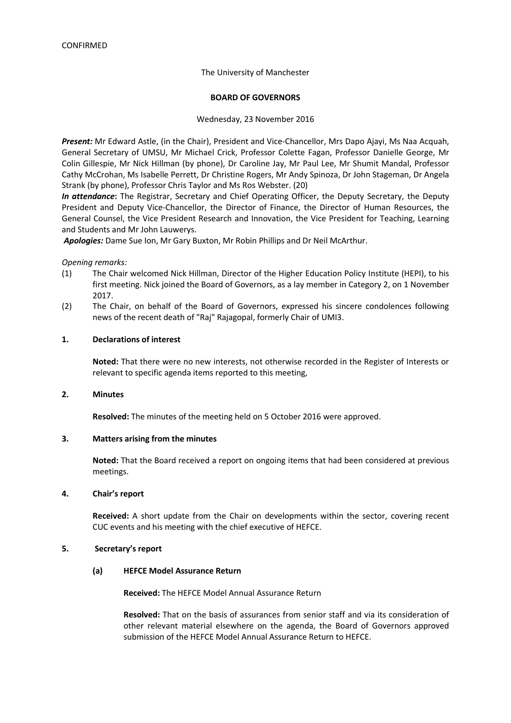#### The University of Manchester

#### **BOARD OF GOVERNORS**

#### Wednesday, 23 November 2016

*Present:* Mr Edward Astle, (in the Chair), President and Vice-Chancellor, Mrs Dapo Ajayi, Ms Naa Acquah, General Secretary of UMSU, Mr Michael Crick, Professor Colette Fagan, Professor Danielle George, Mr Colin Gillespie, Mr Nick Hillman (by phone), Dr Caroline Jay, Mr Paul Lee, Mr Shumit Mandal, Professor Cathy McCrohan, Ms Isabelle Perrett, Dr Christine Rogers, Mr Andy Spinoza, Dr John Stageman, Dr Angela Strank (by phone), Professor Chris Taylor and Ms Ros Webster. (20)

*In attendance***:** The Registrar, Secretary and Chief Operating Officer, the Deputy Secretary, the Deputy President and Deputy Vice-Chancellor, the Director of Finance, the Director of Human Resources, the General Counsel, the Vice President Research and Innovation, the Vice President for Teaching, Learning and Students and Mr John Lauwerys.

*Apologies:* Dame Sue Ion, Mr Gary Buxton, Mr Robin Phillips and Dr Neil McArthur.

*Opening remarks:*

- (1) The Chair welcomed Nick Hillman, Director of the Higher Education Policy Institute (HEPI), to his first meeting. Nick joined the Board of Governors, as a lay member in Category 2, on 1 November 2017.
- (2) The Chair, on behalf of the Board of Governors, expressed his sincere condolences following news of the recent death of "Raj" Rajagopal, formerly Chair of UMI3.

#### **1. Declarations of interest**

**Noted:** That there were no new interests, not otherwise recorded in the Register of Interests or relevant to specific agenda items reported to this meeting,

#### **2. Minutes**

**Resolved:** The minutes of the meeting held on 5 October 2016 were approved.

#### **3. Matters arising from the minutes**

**Noted:** That the Board received a report on ongoing items that had been considered at previous meetings.

#### **4. Chair's report**

**Received:** A short update from the Chair on developments within the sector, covering recent CUC events and his meeting with the chief executive of HEFCE.

#### **5. Secretary's report**

#### **(a) HEFCE Model Assurance Return**

**Received:** The HEFCE Model Annual Assurance Return

**Resolved:** That on the basis of assurances from senior staff and via its consideration of other relevant material elsewhere on the agenda, the Board of Governors approved submission of the HEFCE Model Annual Assurance Return to HEFCE.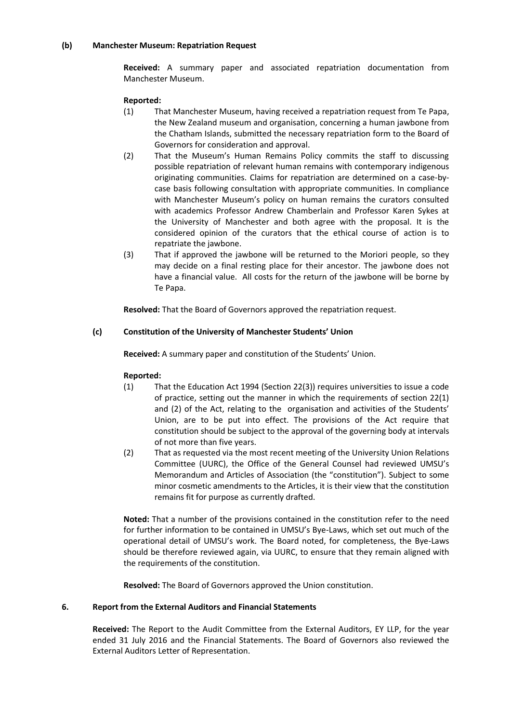#### **(b) Manchester Museum: Repatriation Request**

**Received:** A summary paper and associated repatriation documentation from Manchester Museum.

#### **Reported:**

- (1) That Manchester Museum, having received a repatriation request from Te Papa, the New Zealand museum and organisation, concerning a human jawbone from the Chatham Islands, submitted the necessary repatriation form to the Board of Governors for consideration and approval.
- (2) That the Museum's Human Remains Policy commits the staff to discussing possible repatriation of relevant human remains with contemporary indigenous originating communities. Claims for repatriation are determined on a case-bycase basis following consultation with appropriate communities. In compliance with Manchester Museum's policy on human remains the curators consulted with academics Professor Andrew Chamberlain and Professor Karen Sykes at the University of Manchester and both agree with the proposal. It is the considered opinion of the curators that the ethical course of action is to repatriate the jawbone.
- (3) That if approved the jawbone will be returned to the Moriori people, so they may decide on a final resting place for their ancestor. The jawbone does not have a financial value. All costs for the return of the jawbone will be borne by Te Papa.

**Resolved:** That the Board of Governors approved the repatriation request.

#### **(c) Constitution of the University of Manchester Students' Union**

**Received:** A summary paper and constitution of the Students' Union.

## **Reported:**

- (1) That the Education Act 1994 (Section 22(3)) requires universities to issue a code of practice, setting out the manner in which the requirements of section 22(1) and (2) of the Act, relating to the organisation and activities of the Students' Union, are to be put into effect. The provisions of the Act require that constitution should be subject to the approval of the governing body at intervals of not more than five years.
- (2) That as requested via the most recent meeting of the University Union Relations Committee (UURC), the Office of the General Counsel had reviewed UMSU's Memorandum and Articles of Association (the "constitution"). Subject to some minor cosmetic amendments to the Articles, it is their view that the constitution remains fit for purpose as currently drafted.

**Noted:** That a number of the provisions contained in the constitution refer to the need for further information to be contained in UMSU's Bye-Laws, which set out much of the operational detail of UMSU's work. The Board noted, for completeness, the Bye-Laws should be therefore reviewed again, via UURC, to ensure that they remain aligned with the requirements of the constitution.

**Resolved:** The Board of Governors approved the Union constitution.

#### **6. Report from the External Auditors and Financial Statements**

**Received:** The Report to the Audit Committee from the External Auditors, EY LLP, for the year ended 31 July 2016 and the Financial Statements. The Board of Governors also reviewed the External Auditors Letter of Representation.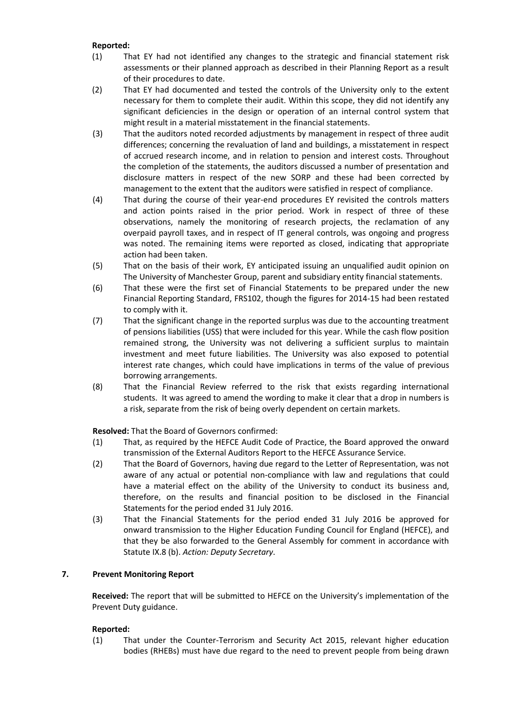## **Reported:**

- (1) That EY had not identified any changes to the strategic and financial statement risk assessments or their planned approach as described in their Planning Report as a result of their procedures to date.
- (2) That EY had documented and tested the controls of the University only to the extent necessary for them to complete their audit. Within this scope, they did not identify any significant deficiencies in the design or operation of an internal control system that might result in a material misstatement in the financial statements.
- (3) That the auditors noted recorded adjustments by management in respect of three audit differences; concerning the revaluation of land and buildings, a misstatement in respect of accrued research income, and in relation to pension and interest costs. Throughout the completion of the statements, the auditors discussed a number of presentation and disclosure matters in respect of the new SORP and these had been corrected by management to the extent that the auditors were satisfied in respect of compliance.
- (4) That during the course of their year-end procedures EY revisited the controls matters and action points raised in the prior period. Work in respect of three of these observations, namely the monitoring of research projects, the reclamation of any overpaid payroll taxes, and in respect of IT general controls, was ongoing and progress was noted. The remaining items were reported as closed, indicating that appropriate action had been taken.
- (5) That on the basis of their work, EY anticipated issuing an unqualified audit opinion on The University of Manchester Group, parent and subsidiary entity financial statements.
- (6) That these were the first set of Financial Statements to be prepared under the new Financial Reporting Standard, FRS102, though the figures for 2014-15 had been restated to comply with it.
- (7) That the significant change in the reported surplus was due to the accounting treatment of pensions liabilities (USS) that were included for this year. While the cash flow position remained strong, the University was not delivering a sufficient surplus to maintain investment and meet future liabilities. The University was also exposed to potential interest rate changes, which could have implications in terms of the value of previous borrowing arrangements.
- (8) That the Financial Review referred to the risk that exists regarding international students. It was agreed to amend the wording to make it clear that a drop in numbers is a risk, separate from the risk of being overly dependent on certain markets.

**Resolved:** That the Board of Governors confirmed:

- (1) That, as required by the HEFCE Audit Code of Practice, the Board approved the onward transmission of the External Auditors Report to the HEFCE Assurance Service.
- (2) That the Board of Governors, having due regard to the Letter of Representation, was not aware of any actual or potential non-compliance with law and regulations that could have a material effect on the ability of the University to conduct its business and, therefore, on the results and financial position to be disclosed in the Financial Statements for the period ended 31 July 2016.
- (3) That the Financial Statements for the period ended 31 July 2016 be approved for onward transmission to the Higher Education Funding Council for England (HEFCE), and that they be also forwarded to the General Assembly for comment in accordance with Statute IX.8 (b). *Action: Deputy Secretary*.

## **7. Prevent Monitoring Report**

**Received:** The report that will be submitted to HEFCE on the University's implementation of the Prevent Duty guidance.

## **Reported:**

(1) That under the Counter-Terrorism and Security Act 2015, relevant higher education bodies (RHEBs) must have due regard to the need to prevent people from being drawn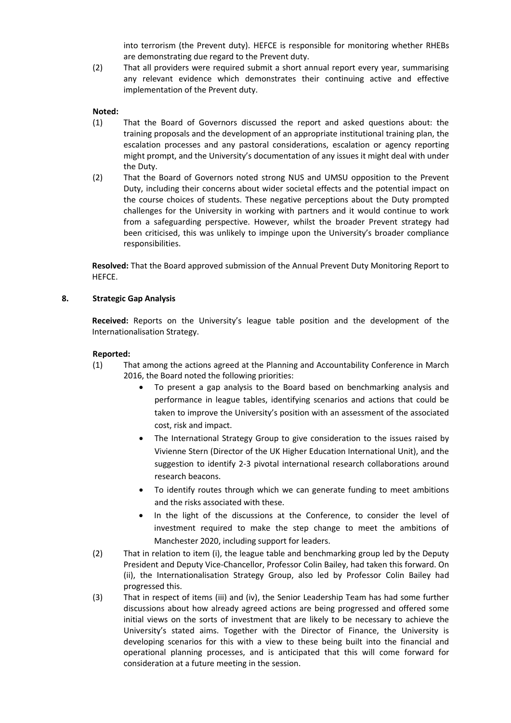into terrorism (the Prevent duty). HEFCE is responsible for monitoring whether RHEBs are demonstrating due regard to the Prevent duty.

(2) That all providers were required submit a short annual report every year, summarising any relevant evidence which demonstrates their continuing active and effective implementation of the Prevent duty.

#### **Noted:**

- (1) That the Board of Governors discussed the report and asked questions about: the training proposals and the development of an appropriate institutional training plan, the escalation processes and any pastoral considerations, escalation or agency reporting might prompt, and the University's documentation of any issues it might deal with under the Duty.
- (2) That the Board of Governors noted strong NUS and UMSU opposition to the Prevent Duty, including their concerns about wider societal effects and the potential impact on the course choices of students. These negative perceptions about the Duty prompted challenges for the University in working with partners and it would continue to work from a safeguarding perspective. However, whilst the broader Prevent strategy had been criticised, this was unlikely to impinge upon the University's broader compliance responsibilities.

**Resolved:** That the Board approved submission of the Annual Prevent Duty Monitoring Report to HEFCE.

#### **8. Strategic Gap Analysis**

**Received:** Reports on the University's league table position and the development of the Internationalisation Strategy.

- (1) That among the actions agreed at the Planning and Accountability Conference in March 2016, the Board noted the following priorities:
	- To present a gap analysis to the Board based on benchmarking analysis and performance in league tables, identifying scenarios and actions that could be taken to improve the University's position with an assessment of the associated cost, risk and impact.
	- The International Strategy Group to give consideration to the issues raised by Vivienne Stern (Director of the UK Higher Education International Unit), and the suggestion to identify 2-3 pivotal international research collaborations around research beacons.
	- To identify routes through which we can generate funding to meet ambitions and the risks associated with these.
	- In the light of the discussions at the Conference, to consider the level of investment required to make the step change to meet the ambitions of Manchester 2020, including support for leaders.
- (2) That in relation to item (i), the league table and benchmarking group led by the Deputy President and Deputy Vice-Chancellor, Professor Colin Bailey, had taken this forward. On (ii), the Internationalisation Strategy Group, also led by Professor Colin Bailey had progressed this.
- (3) That in respect of items (iii) and (iv), the Senior Leadership Team has had some further discussions about how already agreed actions are being progressed and offered some initial views on the sorts of investment that are likely to be necessary to achieve the University's stated aims. Together with the Director of Finance, the University is developing scenarios for this with a view to these being built into the financial and operational planning processes, and is anticipated that this will come forward for consideration at a future meeting in the session.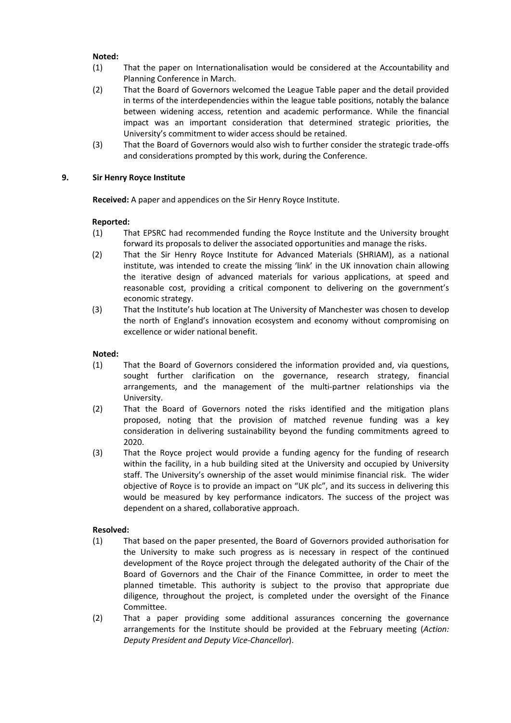### **Noted:**

- (1) That the paper on Internationalisation would be considered at the Accountability and Planning Conference in March.
- (2) That the Board of Governors welcomed the League Table paper and the detail provided in terms of the interdependencies within the league table positions, notably the balance between widening access, retention and academic performance. While the financial impact was an important consideration that determined strategic priorities, the University's commitment to wider access should be retained.
- (3) That the Board of Governors would also wish to further consider the strategic trade-offs and considerations prompted by this work, during the Conference.

### **9. Sir Henry Royce Institute**

**Received:** A paper and appendices on the Sir Henry Royce Institute.

#### **Reported:**

- (1) That EPSRC had recommended funding the Royce Institute and the University brought forward its proposals to deliver the associated opportunities and manage the risks.
- (2) That the Sir Henry Royce Institute for Advanced Materials (SHRIAM), as a national institute, was intended to create the missing 'link' in the UK innovation chain allowing the iterative design of advanced materials for various applications, at speed and reasonable cost, providing a critical component to delivering on the government's economic strategy.
- (3) That the Institute's hub location at The University of Manchester was chosen to develop the north of England's innovation ecosystem and economy without compromising on excellence or wider national benefit.

#### **Noted:**

- (1) That the Board of Governors considered the information provided and, via questions, sought further clarification on the governance, research strategy, financial arrangements, and the management of the multi-partner relationships via the University.
- (2) That the Board of Governors noted the risks identified and the mitigation plans proposed, noting that the provision of matched revenue funding was a key consideration in delivering sustainability beyond the funding commitments agreed to 2020.
- (3) That the Royce project would provide a funding agency for the funding of research within the facility, in a hub building sited at the University and occupied by University staff. The University's ownership of the asset would minimise financial risk. The wider objective of Royce is to provide an impact on "UK plc", and its success in delivering this would be measured by key performance indicators. The success of the project was dependent on a shared, collaborative approach.

## **Resolved:**

- (1) That based on the paper presented, the Board of Governors provided authorisation for the University to make such progress as is necessary in respect of the continued development of the Royce project through the delegated authority of the Chair of the Board of Governors and the Chair of the Finance Committee, in order to meet the planned timetable. This authority is subject to the proviso that appropriate due diligence, throughout the project, is completed under the oversight of the Finance Committee.
- (2) That a paper providing some additional assurances concerning the governance arrangements for the Institute should be provided at the February meeting (*Action: Deputy President and Deputy Vice-Chancellor*).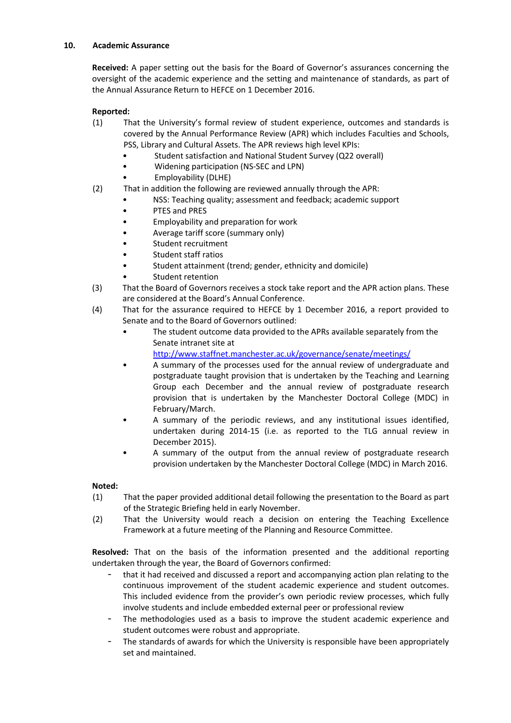## **10. Academic Assurance**

**Received:** A paper setting out the basis for the Board of Governor's assurances concerning the oversight of the academic experience and the setting and maintenance of standards, as part of the Annual Assurance Return to HEFCE on 1 December 2016.

# **Reported:**

- (1) That the University's formal review of student experience, outcomes and standards is covered by the Annual Performance Review (APR) which includes Faculties and Schools, PSS, Library and Cultural Assets. The APR reviews high level KPIs:
	- Student satisfaction and National Student Survey (Q22 overall)
	- Widening participation (NS-SEC and LPN)
	- Employability (DLHE)
- (2) That in addition the following are reviewed annually through the APR:
	- NSS: Teaching quality; assessment and feedback; academic support
	- PTES and PRES
	- Employability and preparation for work
	- Average tariff score (summary only)
	- Student recruitment
	- Student staff ratios
	- Student attainment (trend; gender, ethnicity and domicile)
	- Student retention
- (3) That the Board of Governors receives a stock take report and the APR action plans. These are considered at the Board's Annual Conference.
- (4) That for the assurance required to HEFCE by 1 December 2016, a report provided to Senate and to the Board of Governors outlined:
	- The student outcome data provided to the APRs available separately from the Senate intranet site at

<http://www.staffnet.manchester.ac.uk/governance/senate/meetings/>

- A summary of the processes used for the annual review of undergraduate and postgraduate taught provision that is undertaken by the Teaching and Learning Group each December and the annual review of postgraduate research provision that is undertaken by the Manchester Doctoral College (MDC) in February/March.
- A summary of the periodic reviews, and any institutional issues identified, undertaken during 2014-15 (i.e. as reported to the TLG annual review in December 2015).
- A summary of the output from the annual review of postgraduate research provision undertaken by the Manchester Doctoral College (MDC) in March 2016.

## **Noted:**

- (1) That the paper provided additional detail following the presentation to the Board as part of the Strategic Briefing held in early November.
- (2) That the University would reach a decision on entering the Teaching Excellence Framework at a future meeting of the Planning and Resource Committee.

**Resolved:** That on the basis of the information presented and the additional reporting undertaken through the year, the Board of Governors confirmed:

- that it had received and discussed a report and accompanying action plan relating to the continuous improvement of the student academic experience and student outcomes. This included evidence from the provider's own periodic review processes, which fully involve students and include embedded external peer or professional review
- The methodologies used as a basis to improve the student academic experience and student outcomes were robust and appropriate.
- The standards of awards for which the University is responsible have been appropriately set and maintained.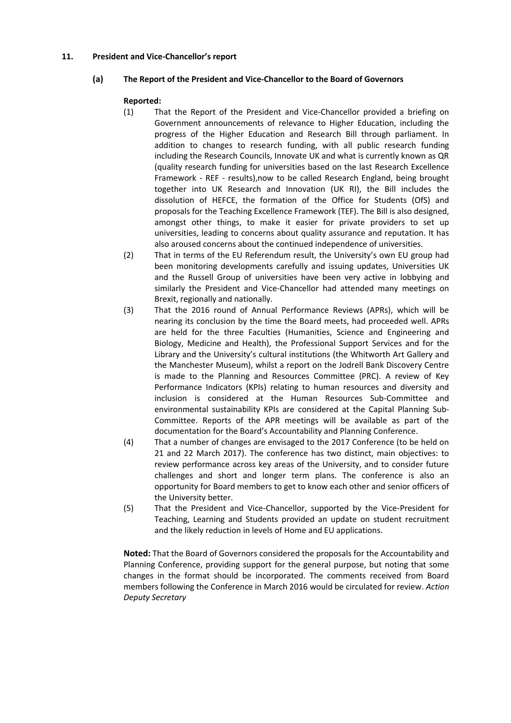## **11. President and Vice-Chancellor's report**

# **(a) The Report of the President and Vice-Chancellor to the Board of Governors**

# **Reported:**

- (1) That the Report of the President and Vice-Chancellor provided a briefing on Government announcements of relevance to Higher Education, including the progress of the Higher Education and Research Bill through parliament. In addition to changes to research funding, with all public research funding including the Research Councils, Innovate UK and what is currently known as QR (quality research funding for universities based on the last Research Excellence Framework - REF - results),now to be called Research England, being brought together into UK Research and Innovation (UK RI), the Bill includes the dissolution of HEFCE, the formation of the Office for Students (OfS) and proposals for the Teaching Excellence Framework (TEF). The Bill is also designed, amongst other things, to make it easier for private providers to set up universities, leading to concerns about quality assurance and reputation. It has also aroused concerns about the continued independence of universities.
- (2) That in terms of the EU Referendum result, the University's own EU group had been monitoring developments carefully and issuing updates, Universities UK and the Russell Group of universities have been very active in lobbying and similarly the President and Vice-Chancellor had attended many meetings on Brexit, regionally and nationally.
- (3) That the 2016 round of Annual Performance Reviews (APRs), which will be nearing its conclusion by the time the Board meets, had proceeded well. APRs are held for the three Faculties (Humanities, Science and Engineering and Biology, Medicine and Health), the Professional Support Services and for the Library and the University's cultural institutions (the Whitworth Art Gallery and the Manchester Museum), whilst a report on the Jodrell Bank Discovery Centre is made to the Planning and Resources Committee (PRC). A review of Key Performance Indicators (KPIs) relating to human resources and diversity and inclusion is considered at the Human Resources Sub-Committee and environmental sustainability KPIs are considered at the Capital Planning Sub-Committee. Reports of the APR meetings will be available as part of the documentation for the Board's Accountability and Planning Conference.
- (4) That a number of changes are envisaged to the 2017 Conference (to be held on 21 and 22 March 2017). The conference has two distinct, main objectives: to review performance across key areas of the University, and to consider future challenges and short and longer term plans. The conference is also an opportunity for Board members to get to know each other and senior officers of the University better.
- (5) That the President and Vice-Chancellor, supported by the Vice-President for Teaching, Learning and Students provided an update on student recruitment and the likely reduction in levels of Home and EU applications.

**Noted:** That the Board of Governors considered the proposals for the Accountability and Planning Conference, providing support for the general purpose, but noting that some changes in the format should be incorporated. The comments received from Board members following the Conference in March 2016 would be circulated for review. *Action Deputy Secretary*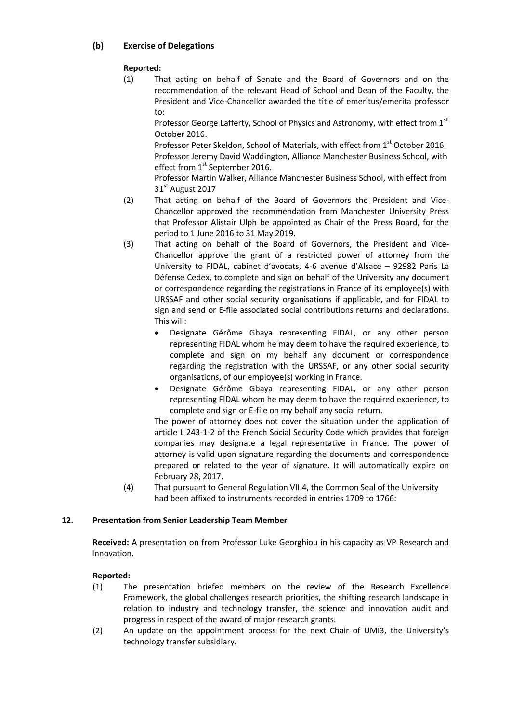# **(b) Exercise of Delegations**

# **Reported:**

(1) That acting on behalf of Senate and the Board of Governors and on the recommendation of the relevant Head of School and Dean of the Faculty, the President and Vice-Chancellor awarded the title of emeritus/emerita professor to:

Professor George Lafferty, School of Physics and Astronomy, with effect from 1<sup>st</sup> October 2016.

Professor Peter Skeldon, School of Materials, with effect from 1<sup>st</sup> October 2016. Professor Jeremy David Waddington, Alliance Manchester Business School, with effect from 1<sup>st</sup> September 2016.

Professor Martin Walker, Alliance Manchester Business School, with effect from 31st August 2017

- (2) That acting on behalf of the Board of Governors the President and Vice-Chancellor approved the recommendation from Manchester University Press that Professor Alistair Ulph be appointed as Chair of the Press Board, for the period to 1 June 2016 to 31 May 2019.
- (3) That acting on behalf of the Board of Governors, the President and Vice-Chancellor approve the grant of a restricted power of attorney from the University to FIDAL, cabinet d'avocats, 4-6 avenue d'Alsace – 92982 Paris La Défense Cedex, to complete and sign on behalf of the University any document or correspondence regarding the registrations in France of its employee(s) with URSSAF and other social security organisations if applicable, and for FIDAL to sign and send or E-file associated social contributions returns and declarations. This will:
	- Designate Gérôme Gbaya representing FIDAL, or any other person representing FIDAL whom he may deem to have the required experience, to complete and sign on my behalf any document or correspondence regarding the registration with the URSSAF, or any other social security organisations, of our employee(s) working in France.
	- Designate Gérôme Gbaya representing FIDAL, or any other person representing FIDAL whom he may deem to have the required experience, to complete and sign or E-file on my behalf any social return.

The power of attorney does not cover the situation under the application of article L 243-1-2 of the French Social Security Code which provides that foreign companies may designate a legal representative in France. The power of attorney is valid upon signature regarding the documents and correspondence prepared or related to the year of signature. It will automatically expire on February 28, 2017.

(4) That pursuant to General Regulation VII.4, the Common Seal of the University had been affixed to instruments recorded in entries 1709 to 1766:

## **12. Presentation from Senior Leadership Team Member**

**Received:** A presentation on from Professor Luke Georghiou in his capacity as VP Research and Innovation.

- (1) The presentation briefed members on the review of the Research Excellence Framework, the global challenges research priorities, the shifting research landscape in relation to industry and technology transfer, the science and innovation audit and progress in respect of the award of major research grants.
- (2) An update on the appointment process for the next Chair of UMI3, the University's technology transfer subsidiary.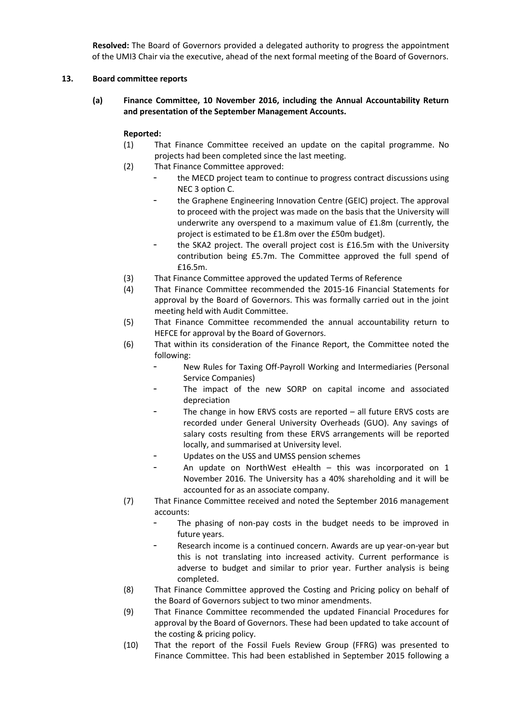**Resolved:** The Board of Governors provided a delegated authority to progress the appointment of the UMI3 Chair via the executive, ahead of the next formal meeting of the Board of Governors.

## **13. Board committee reports**

**(a) Finance Committee, 10 November 2016, including the Annual Accountability Return and presentation of the September Management Accounts.**

- (1) That Finance Committee received an update on the capital programme. No projects had been completed since the last meeting.
- (2) That Finance Committee approved:
	- the MECD project team to continue to progress contract discussions using NEC 3 option C.
	- the Graphene Engineering Innovation Centre (GEIC) project. The approval to proceed with the project was made on the basis that the University will underwrite any overspend to a maximum value of £1.8m (currently, the project is estimated to be £1.8m over the £50m budget).
	- the SKA2 project. The overall project cost is £16.5m with the University contribution being £5.7m. The Committee approved the full spend of £16.5m.
- (3) That Finance Committee approved the updated Terms of Reference
- (4) That Finance Committee recommended the 2015-16 Financial Statements for approval by the Board of Governors. This was formally carried out in the joint meeting held with Audit Committee.
- (5) That Finance Committee recommended the annual accountability return to HEFCE for approval by the Board of Governors.
- (6) That within its consideration of the Finance Report, the Committee noted the following:
	- New Rules for Taxing Off-Payroll Working and Intermediaries (Personal Service Companies)
	- The impact of the new SORP on capital income and associated depreciation
	- The change in how ERVS costs are reported  $-$  all future ERVS costs are recorded under General University Overheads (GUO). Any savings of salary costs resulting from these ERVS arrangements will be reported locally, and summarised at University level.
	- Updates on the USS and UMSS pension schemes
	- An update on NorthWest eHealth  $-$  this was incorporated on 1 November 2016. The University has a 40% shareholding and it will be accounted for as an associate company.
- (7) That Finance Committee received and noted the September 2016 management accounts:
	- The phasing of non-pay costs in the budget needs to be improved in future years.
	- Research income is a continued concern. Awards are up year-on-year but this is not translating into increased activity. Current performance is adverse to budget and similar to prior year. Further analysis is being completed.
- (8) That Finance Committee approved the Costing and Pricing policy on behalf of the Board of Governors subject to two minor amendments.
- (9) That Finance Committee recommended the updated Financial Procedures for approval by the Board of Governors. These had been updated to take account of the costing & pricing policy.
- (10) That the report of the Fossil Fuels Review Group (FFRG) was presented to Finance Committee. This had been established in September 2015 following a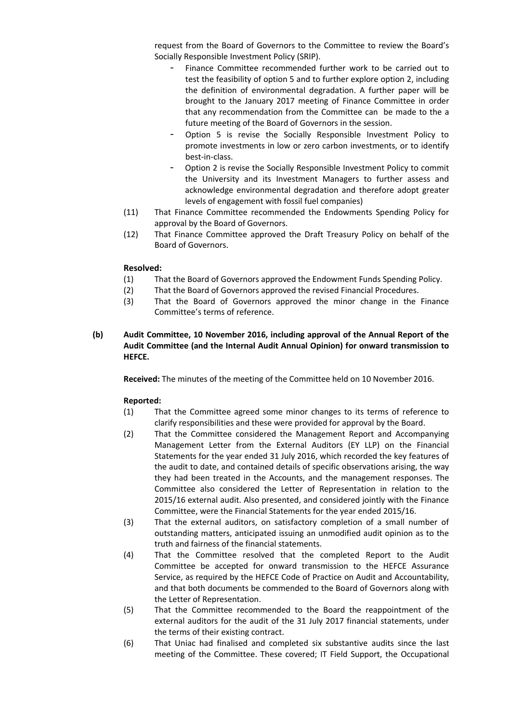request from the Board of Governors to the Committee to review the Board's Socially Responsible Investment Policy (SRIP).

- Finance Committee recommended further work to be carried out to test the feasibility of option 5 and to further explore option 2, including the definition of environmental degradation. A further paper will be brought to the January 2017 meeting of Finance Committee in order that any recommendation from the Committee can be made to the a future meeting of the Board of Governors in the session.
- Option 5 is revise the Socially Responsible Investment Policy to promote investments in low or zero carbon investments, or to identify best-in-class.
- Option 2 is revise the Socially Responsible Investment Policy to commit the University and its Investment Managers to further assess and acknowledge environmental degradation and therefore adopt greater levels of engagement with fossil fuel companies)
- (11) That Finance Committee recommended the Endowments Spending Policy for approval by the Board of Governors.
- (12) That Finance Committee approved the Draft Treasury Policy on behalf of the Board of Governors.

## **Resolved:**

- (1) That the Board of Governors approved the Endowment Funds Spending Policy.
- (2) That the Board of Governors approved the revised Financial Procedures.
- (3) That the Board of Governors approved the minor change in the Finance Committee's terms of reference.
- **(b) Audit Committee, 10 November 2016, including approval of the Annual Report of the Audit Committee (and the Internal Audit Annual Opinion) for onward transmission to HEFCE.**

**Received:** The minutes of the meeting of the Committee held on 10 November 2016.

- (1) That the Committee agreed some minor changes to its terms of reference to clarify responsibilities and these were provided for approval by the Board.
- (2) That the Committee considered the Management Report and Accompanying Management Letter from the External Auditors (EY LLP) on the Financial Statements for the year ended 31 July 2016, which recorded the key features of the audit to date, and contained details of specific observations arising, the way they had been treated in the Accounts, and the management responses. The Committee also considered the Letter of Representation in relation to the 2015/16 external audit. Also presented, and considered jointly with the Finance Committee, were the Financial Statements for the year ended 2015/16.
- (3) That the external auditors, on satisfactory completion of a small number of outstanding matters, anticipated issuing an unmodified audit opinion as to the truth and fairness of the financial statements.
- (4) That the Committee resolved that the completed Report to the Audit Committee be accepted for onward transmission to the HEFCE Assurance Service, as required by the HEFCE Code of Practice on Audit and Accountability, and that both documents be commended to the Board of Governors along with the Letter of Representation.
- (5) That the Committee recommended to the Board the reappointment of the external auditors for the audit of the 31 July 2017 financial statements, under the terms of their existing contract.
- (6) That Uniac had finalised and completed six substantive audits since the last meeting of the Committee. These covered; IT Field Support, the Occupational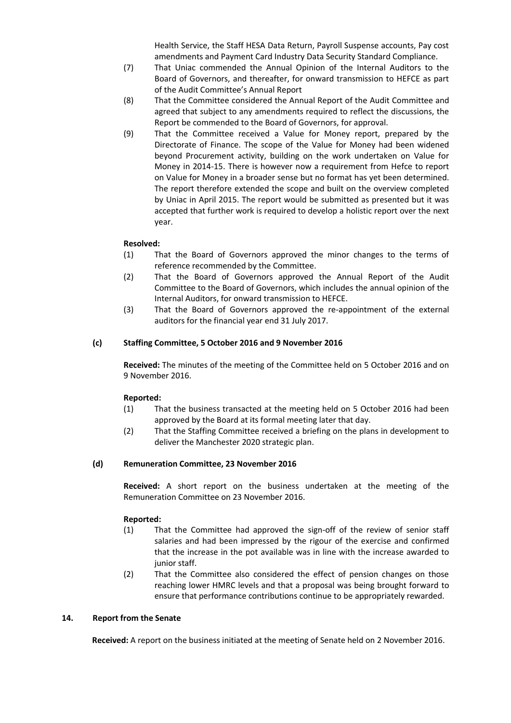Health Service, the Staff HESA Data Return, Payroll Suspense accounts, Pay cost amendments and Payment Card Industry Data Security Standard Compliance.

- (7) That Uniac commended the Annual Opinion of the Internal Auditors to the Board of Governors, and thereafter, for onward transmission to HEFCE as part of the Audit Committee's Annual Report
- (8) That the Committee considered the Annual Report of the Audit Committee and agreed that subject to any amendments required to reflect the discussions, the Report be commended to the Board of Governors, for approval.
- (9) That the Committee received a Value for Money report, prepared by the Directorate of Finance. The scope of the Value for Money had been widened beyond Procurement activity, building on the work undertaken on Value for Money in 2014-15. There is however now a requirement from Hefce to report on Value for Money in a broader sense but no format has yet been determined. The report therefore extended the scope and built on the overview completed by Uniac in April 2015. The report would be submitted as presented but it was accepted that further work is required to develop a holistic report over the next year.

## **Resolved:**

- (1) That the Board of Governors approved the minor changes to the terms of reference recommended by the Committee.
- (2) That the Board of Governors approved the Annual Report of the Audit Committee to the Board of Governors, which includes the annual opinion of the Internal Auditors, for onward transmission to HEFCE.
- (3) That the Board of Governors approved the re-appointment of the external auditors for the financial year end 31 July 2017.

## **(c) Staffing Committee, 5 October 2016 and 9 November 2016**

**Received:** The minutes of the meeting of the Committee held on 5 October 2016 and on 9 November 2016.

## **Reported:**

- (1) That the business transacted at the meeting held on 5 October 2016 had been approved by the Board at its formal meeting later that day.
- (2) That the Staffing Committee received a briefing on the plans in development to deliver the Manchester 2020 strategic plan.

## **(d) Remuneration Committee, 23 November 2016**

**Received:** A short report on the business undertaken at the meeting of the Remuneration Committee on 23 November 2016.

#### **Reported:**

- (1) That the Committee had approved the sign-off of the review of senior staff salaries and had been impressed by the rigour of the exercise and confirmed that the increase in the pot available was in line with the increase awarded to junior staff.
- (2) That the Committee also considered the effect of pension changes on those reaching lower HMRC levels and that a proposal was being brought forward to ensure that performance contributions continue to be appropriately rewarded.

#### **14. Report from the Senate**

**Received:** A report on the business initiated at the meeting of Senate held on 2 November 2016.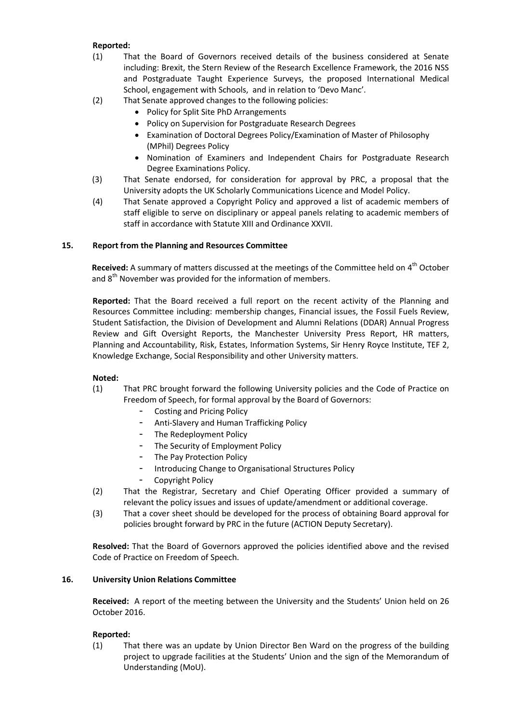## **Reported:**

- (1) That the Board of Governors received details of the business considered at Senate including: Brexit, the Stern Review of the Research Excellence Framework, the 2016 NSS and Postgraduate Taught Experience Surveys, the proposed International Medical School, engagement with Schools, and in relation to 'Devo Manc'.
- (2) That Senate approved changes to the following policies:
	- Policy for Split Site PhD Arrangements
	- Policy on Supervision for Postgraduate Research Degrees
	- Examination of Doctoral Degrees Policy/Examination of Master of Philosophy (MPhil) Degrees Policy
	- Nomination of Examiners and Independent Chairs for Postgraduate Research Degree Examinations Policy.
- (3) That Senate endorsed, for consideration for approval by PRC, a proposal that the University adopts the UK Scholarly Communications Licence and Model Policy.
- (4) That Senate approved a Copyright Policy and approved a list of academic members of staff eligible to serve on disciplinary or appeal panels relating to academic members of staff in accordance with Statute XIII and Ordinance XXVII.

# **15. Report from the Planning and Resources Committee**

Received: A summary of matters discussed at the meetings of the Committee held on 4<sup>th</sup> October and  $8<sup>th</sup>$  November was provided for the information of members.

**Reported:** That the Board received a full report on the recent activity of the Planning and Resources Committee including: membership changes, Financial issues, the Fossil Fuels Review, Student Satisfaction, the Division of Development and Alumni Relations (DDAR) Annual Progress Review and Gift Oversight Reports, the Manchester University Press Report, HR matters, Planning and Accountability, Risk, Estates, Information Systems, Sir Henry Royce Institute, TEF 2, Knowledge Exchange, Social Responsibility and other University matters.

## **Noted:**

- (1) That PRC brought forward the following University policies and the Code of Practice on Freedom of Speech, for formal approval by the Board of Governors:
	- Costing and Pricing Policy
	- Anti-Slavery and Human Trafficking Policy
	- The Redeployment Policy
	- The Security of Employment Policy
	- The Pay Protection Policy
	- Introducing Change to Organisational Structures Policy
	- Copyright Policy
- (2) That the Registrar, Secretary and Chief Operating Officer provided a summary of relevant the policy issues and issues of update/amendment or additional coverage.
- (3) That a cover sheet should be developed for the process of obtaining Board approval for policies brought forward by PRC in the future (ACTION Deputy Secretary).

**Resolved:** That the Board of Governors approved the policies identified above and the revised Code of Practice on Freedom of Speech.

## **16. University Union Relations Committee**

**Received:** A report of the meeting between the University and the Students' Union held on 26 October 2016.

## **Reported:**

(1) That there was an update by Union Director Ben Ward on the progress of the building project to upgrade facilities at the Students' Union and the sign of the Memorandum of Understanding (MoU).